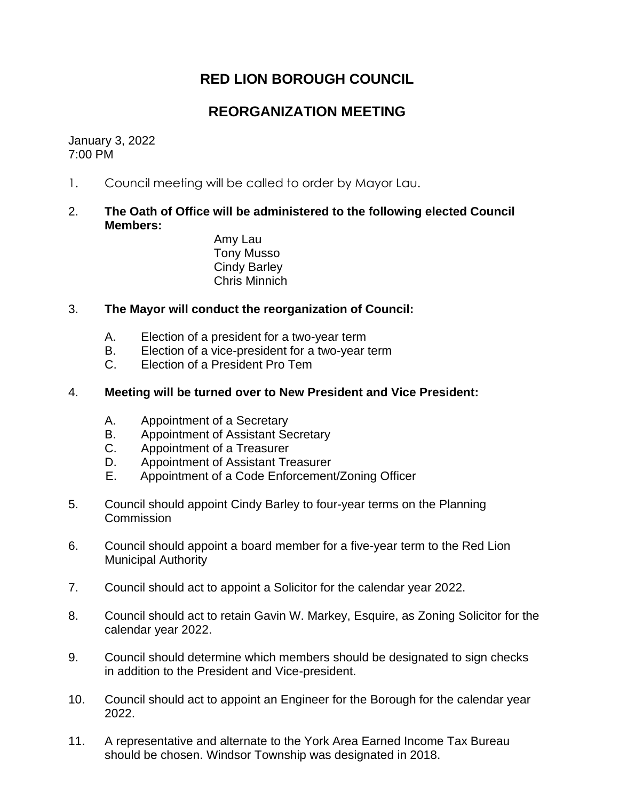# **RED LION BOROUGH COUNCIL**

## **REORGANIZATION MEETING**

January 3, 2022 7:00 PM

1. Council meeting will be called to order by Mayor Lau.

### 2. **The Oath of Office will be administered to the following elected Council Members:**

Amy Lau Tony Musso Cindy Barley Chris Minnich

#### 3. **The Mayor will conduct the reorganization of Council:**

- A. Election of a president for a two-year term
- B. Election of a vice-president for a two-year term
- C. Election of a President Pro Tem

#### 4. **Meeting will be turned over to New President and Vice President:**

- A. Appointment of a Secretary
- B. Appointment of Assistant Secretary
- C. Appointment of a Treasurer
- D. Appointment of Assistant Treasurer
- E. Appointment of a Code Enforcement/Zoning Officer
- 5. Council should appoint Cindy Barley to four-year terms on the Planning **Commission**
- 6. Council should appoint a board member for a five-year term to the Red Lion Municipal Authority
- 7. Council should act to appoint a Solicitor for the calendar year 2022.
- 8. Council should act to retain Gavin W. Markey, Esquire, as Zoning Solicitor for the calendar year 2022.
- 9. Council should determine which members should be designated to sign checks in addition to the President and Vice-president.
- 10. Council should act to appoint an Engineer for the Borough for the calendar year 2022.
- 11. A representative and alternate to the York Area Earned Income Tax Bureau should be chosen. Windsor Township was designated in 2018.